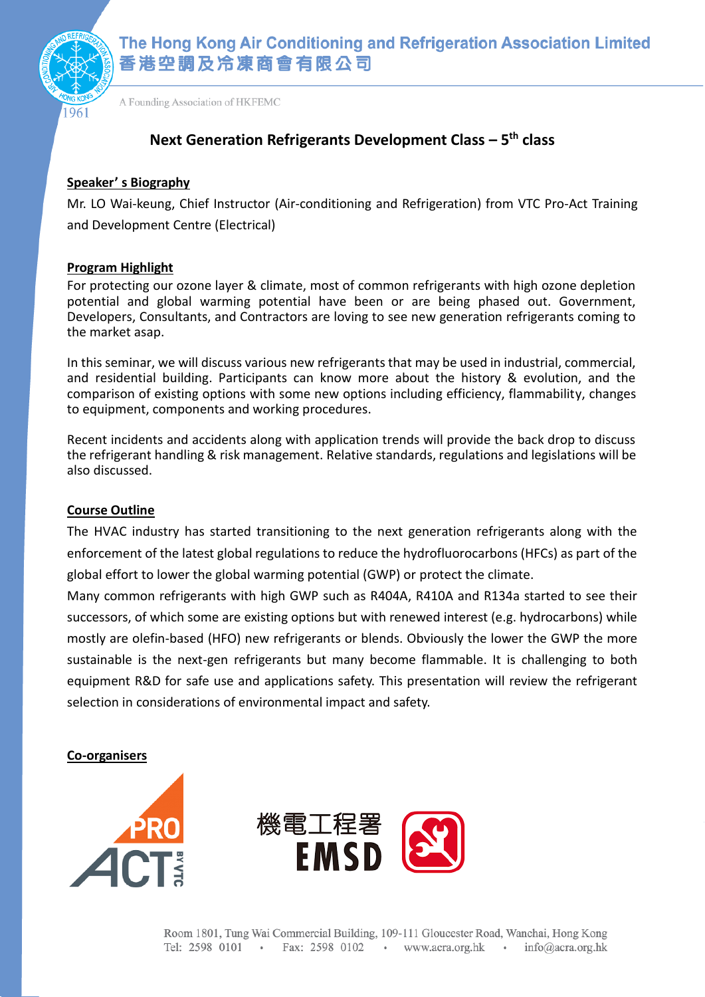

The Hong Kong Air Conditioning and Refrigeration Association Limited 香港空調及冷凍商會有限公司

A Founding Association of HKFEMC

# **Next Generation Refrigerants Development Class – 5 th class**

### **Speaker' s Biography**

Mr. LO Wai-keung, Chief Instructor (Air-conditioning and Refrigeration) from VTC Pro-Act Training and Development Centre (Electrical)

## **Program Highlight**

For protecting our ozone layer & climate, most of common refrigerants with high ozone depletion potential and global warming potential have been or are being phased out. Government, Developers, Consultants, and Contractors are loving to see new generation refrigerants coming to the market asap.

In this seminar, we will discuss various new refrigerants that may be used in industrial, commercial, and residential building. Participants can know more about the history & evolution, and the comparison of existing options with some new options including efficiency, flammability, changes to equipment, components and working procedures.

Recent incidents and accidents along with application trends will provide the back drop to discuss the refrigerant handling & risk management. Relative standards, regulations and legislations will be also discussed.

#### **Course Outline**

The HVAC industry has started transitioning to the next generation refrigerants along with the enforcement of the latest global regulations to reduce the hydrofluorocarbons (HFCs) as part of the global effort to lower the global warming potential (GWP) or protect the climate.

Many common refrigerants with high GWP such as R404A, R410A and R134a started to see their successors, of which some are existing options but with renewed interest (e.g. hydrocarbons) while mostly are olefin-based (HFO) new refrigerants or blends. Obviously the lower the GWP the more sustainable is the next-gen refrigerants but many become flammable. It is challenging to both equipment R&D for safe use and applications safety. This presentation will review the refrigerant selection in considerations of environmental impact and safety.

**Co-organisers**